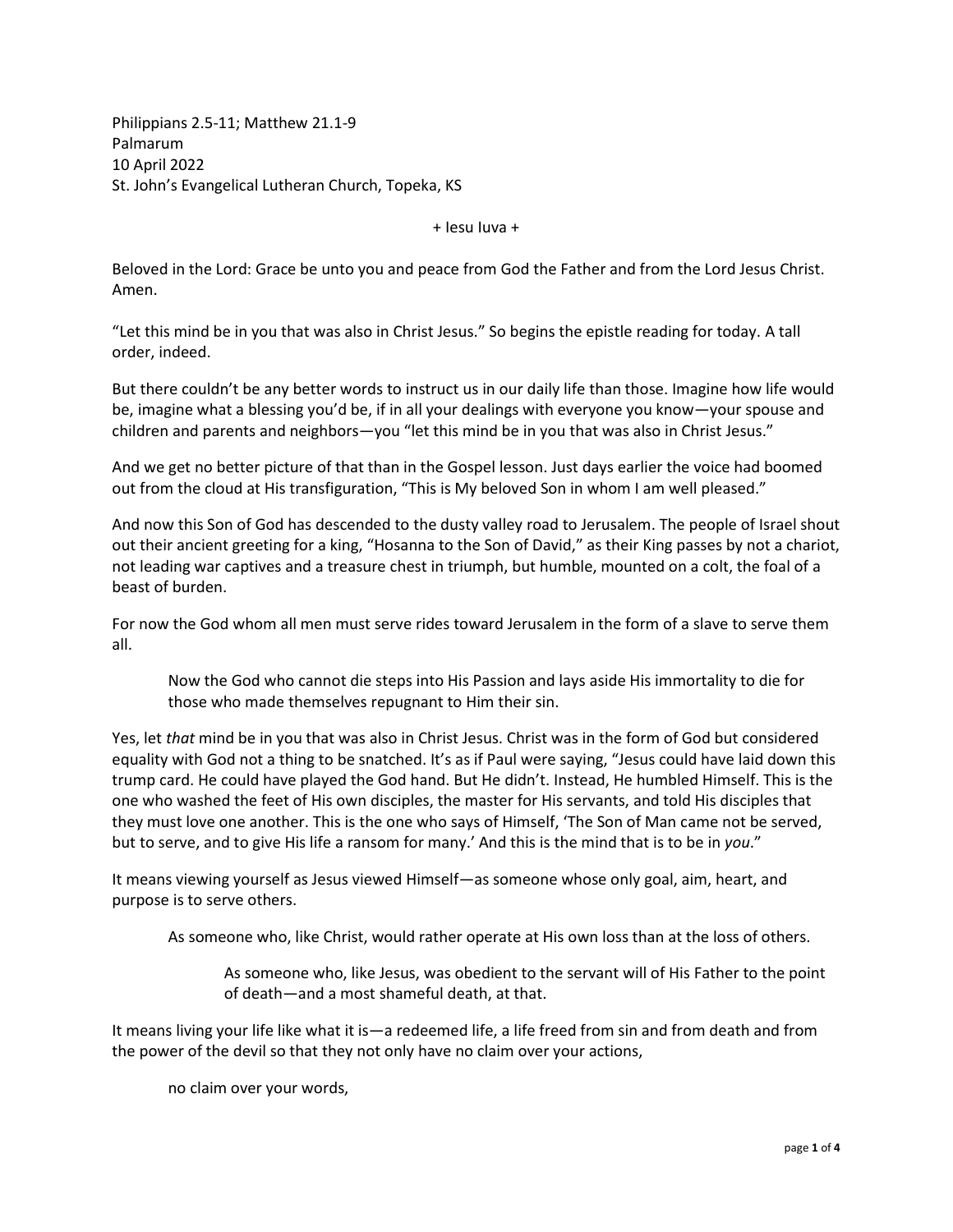Philippians 2.5-11; Matthew 21.1-9 Palmarum 10 April 2022 St. John's Evangelical Lutheran Church, Topeka, KS

+ Iesu Iuva +

Beloved in the Lord: Grace be unto you and peace from God the Father and from the Lord Jesus Christ. Amen.

"Let this mind be in you that was also in Christ Jesus." So begins the epistle reading for today. A tall order, indeed.

But there couldn't be any better words to instruct us in our daily life than those. Imagine how life would be, imagine what a blessing you'd be, if in all your dealings with everyone you know—your spouse and children and parents and neighbors—you "let this mind be in you that was also in Christ Jesus."

And we get no better picture of that than in the Gospel lesson. Just days earlier the voice had boomed out from the cloud at His transfiguration, "This is My beloved Son in whom I am well pleased."

And now this Son of God has descended to the dusty valley road to Jerusalem. The people of Israel shout out their ancient greeting for a king, "Hosanna to the Son of David," as their King passes by not a chariot, not leading war captives and a treasure chest in triumph, but humble, mounted on a colt, the foal of a beast of burden.

For now the God whom all men must serve rides toward Jerusalem in the form of a slave to serve them all.

Now the God who cannot die steps into His Passion and lays aside His immortality to die for those who made themselves repugnant to Him their sin.

Yes, let *that* mind be in you that was also in Christ Jesus. Christ was in the form of God but considered equality with God not a thing to be snatched. It's as if Paul were saying, "Jesus could have laid down this trump card. He could have played the God hand. But He didn't. Instead, He humbled Himself. This is the one who washed the feet of His own disciples, the master for His servants, and told His disciples that they must love one another. This is the one who says of Himself, 'The Son of Man came not be served, but to serve, and to give His life a ransom for many.' And this is the mind that is to be in *you*."

It means viewing yourself as Jesus viewed Himself—as someone whose only goal, aim, heart, and purpose is to serve others.

As someone who, like Christ, would rather operate at His own loss than at the loss of others.

As someone who, like Jesus, was obedient to the servant will of His Father to the point of death—and a most shameful death, at that.

It means living your life like what it is—a redeemed life, a life freed from sin and from death and from the power of the devil so that they not only have no claim over your actions,

no claim over your words,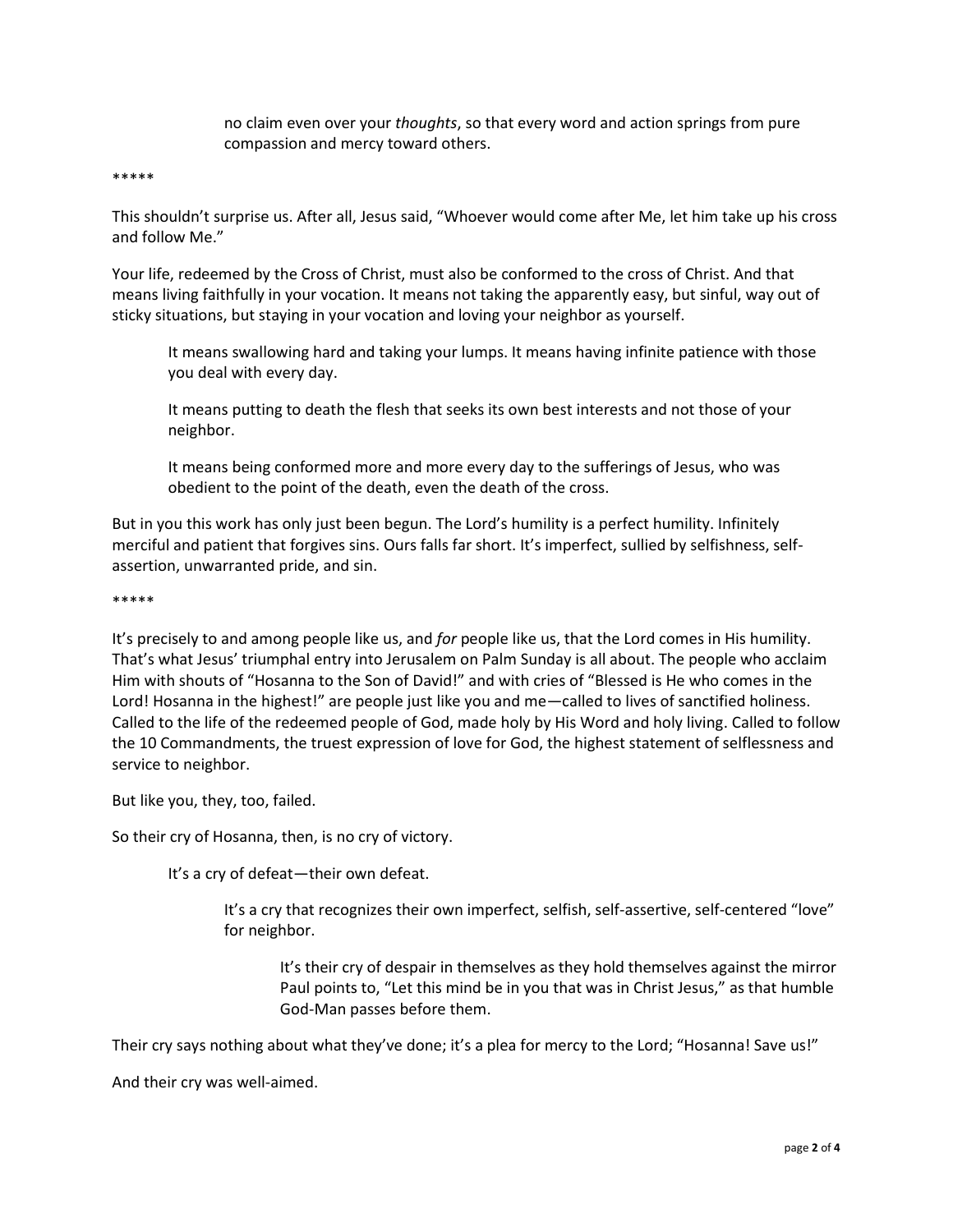no claim even over your *thoughts*, so that every word and action springs from pure compassion and mercy toward others.

\*\*\*\*\*

This shouldn't surprise us. After all, Jesus said, "Whoever would come after Me, let him take up his cross and follow Me."

Your life, redeemed by the Cross of Christ, must also be conformed to the cross of Christ. And that means living faithfully in your vocation. It means not taking the apparently easy, but sinful, way out of sticky situations, but staying in your vocation and loving your neighbor as yourself.

It means swallowing hard and taking your lumps. It means having infinite patience with those you deal with every day.

It means putting to death the flesh that seeks its own best interests and not those of your neighbor.

It means being conformed more and more every day to the sufferings of Jesus, who was obedient to the point of the death, even the death of the cross.

But in you this work has only just been begun. The Lord's humility is a perfect humility. Infinitely merciful and patient that forgives sins. Ours falls far short. It's imperfect, sullied by selfishness, selfassertion, unwarranted pride, and sin.

## \*\*\*\*\*

It's precisely to and among people like us, and *for* people like us, that the Lord comes in His humility. That's what Jesus' triumphal entry into Jerusalem on Palm Sunday is all about. The people who acclaim Him with shouts of "Hosanna to the Son of David!" and with cries of "Blessed is He who comes in the Lord! Hosanna in the highest!" are people just like you and me—called to lives of sanctified holiness. Called to the life of the redeemed people of God, made holy by His Word and holy living. Called to follow the 10 Commandments, the truest expression of love for God, the highest statement of selflessness and service to neighbor.

But like you, they, too, failed.

So their cry of Hosanna, then, is no cry of victory.

It's a cry of defeat—their own defeat.

It's a cry that recognizes their own imperfect, selfish, self-assertive, self-centered "love" for neighbor.

It's their cry of despair in themselves as they hold themselves against the mirror Paul points to, "Let this mind be in you that was in Christ Jesus," as that humble God-Man passes before them.

Their cry says nothing about what they've done; it's a plea for mercy to the Lord; "Hosanna! Save us!"

And their cry was well-aimed.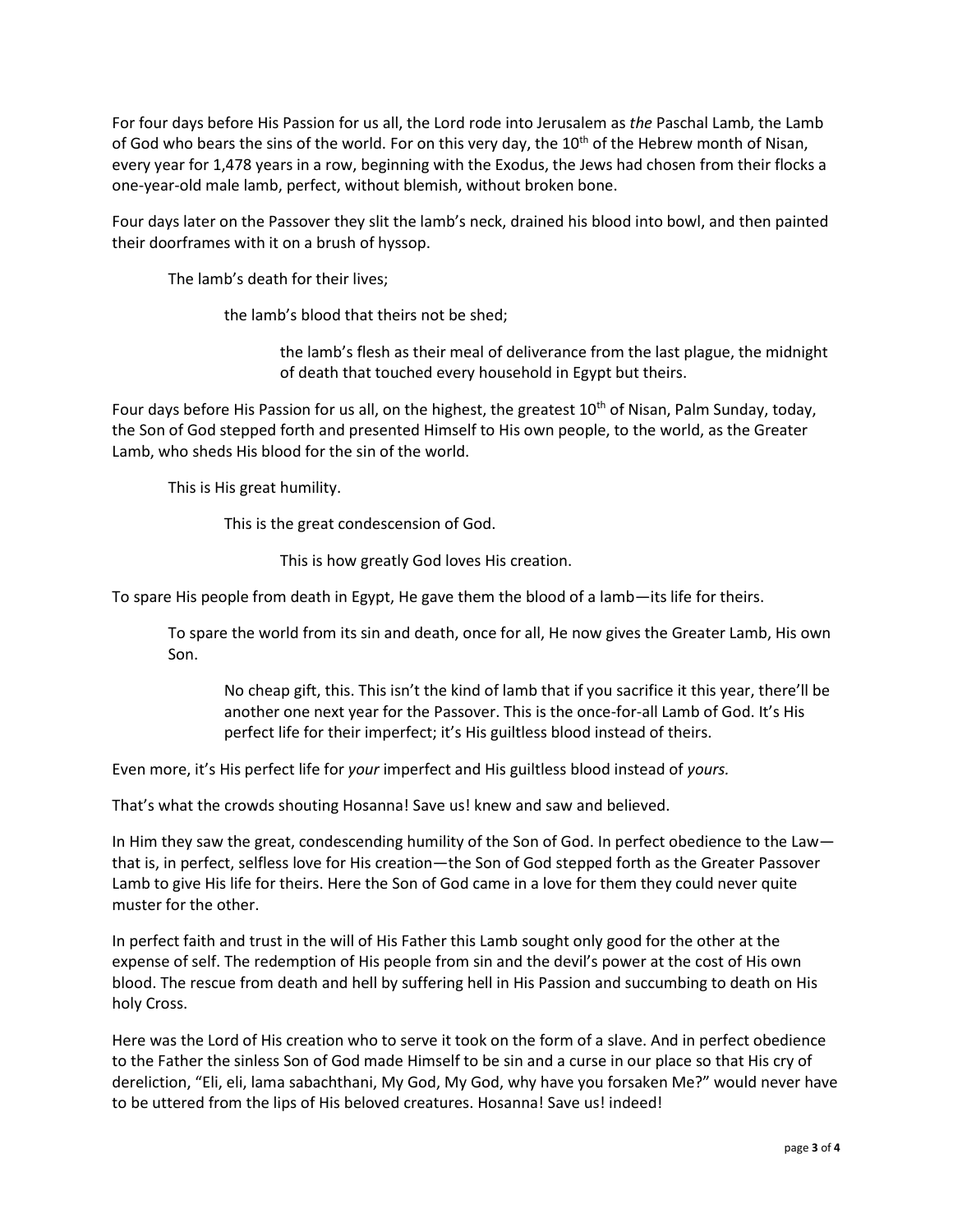For four days before His Passion for us all, the Lord rode into Jerusalem as *the* Paschal Lamb, the Lamb of God who bears the sins of the world. For on this very day, the  $10<sup>th</sup>$  of the Hebrew month of Nisan, every year for 1,478 years in a row, beginning with the Exodus, the Jews had chosen from their flocks a one-year-old male lamb, perfect, without blemish, without broken bone.

Four days later on the Passover they slit the lamb's neck, drained his blood into bowl, and then painted their doorframes with it on a brush of hyssop.

The lamb's death for their lives;

the lamb's blood that theirs not be shed;

the lamb's flesh as their meal of deliverance from the last plague, the midnight of death that touched every household in Egypt but theirs.

Four days before His Passion for us all, on the highest, the greatest 10<sup>th</sup> of Nisan, Palm Sunday, today, the Son of God stepped forth and presented Himself to His own people, to the world, as the Greater Lamb, who sheds His blood for the sin of the world.

This is His great humility.

This is the great condescension of God.

This is how greatly God loves His creation.

To spare His people from death in Egypt, He gave them the blood of a lamb—its life for theirs.

To spare the world from its sin and death, once for all, He now gives the Greater Lamb, His own Son.

No cheap gift, this. This isn't the kind of lamb that if you sacrifice it this year, there'll be another one next year for the Passover. This is the once-for-all Lamb of God. It's His perfect life for their imperfect; it's His guiltless blood instead of theirs.

Even more, it's His perfect life for *your* imperfect and His guiltless blood instead of *yours.* 

That's what the crowds shouting Hosanna! Save us! knew and saw and believed.

In Him they saw the great, condescending humility of the Son of God. In perfect obedience to the Law that is, in perfect, selfless love for His creation—the Son of God stepped forth as the Greater Passover Lamb to give His life for theirs. Here the Son of God came in a love for them they could never quite muster for the other.

In perfect faith and trust in the will of His Father this Lamb sought only good for the other at the expense of self. The redemption of His people from sin and the devil's power at the cost of His own blood. The rescue from death and hell by suffering hell in His Passion and succumbing to death on His holy Cross.

Here was the Lord of His creation who to serve it took on the form of a slave. And in perfect obedience to the Father the sinless Son of God made Himself to be sin and a curse in our place so that His cry of dereliction, "Eli, eli, lama sabachthani, My God, My God, why have you forsaken Me?" would never have to be uttered from the lips of His beloved creatures. Hosanna! Save us! indeed!